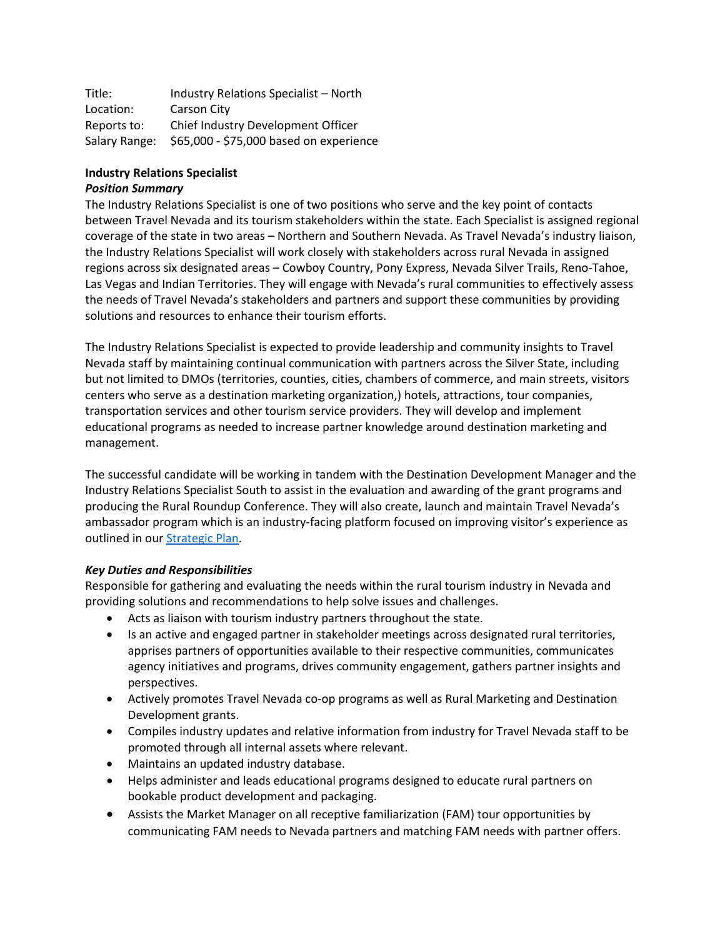| Title:        | Industry Relations Specialist - North   |
|---------------|-----------------------------------------|
| Location:     | Carson City                             |
| Reports to:   | Chief Industry Development Officer      |
| Salary Range: | \$65,000 - \$75,000 based on experience |

### **Industry Relations Specialist**

### *Position Summary*

The Industry Relations Specialist is one of two positions who serve and the key point of contacts between Travel Nevada and its tourism stakeholders within the state. Each Specialist is assigned regional coverage of the state in two areas – Northern and Southern Nevada. As Travel Nevada's industry liaison, the Industry Relations Specialist will work closely with stakeholders across rural Nevada in assigned regions across six designated areas – Cowboy Country, Pony Express, Nevada Silver Trails, Reno-Tahoe, Las Vegas and Indian Territories. They will engage with Nevada's rural communities to effectively assess the needs of Travel Nevada's stakeholders and partners and support these communities by providing solutions and resources to enhance their tourism efforts.

The Industry Relations Specialist is expected to provide leadership and community insights to Travel Nevada staff by maintaining continual communication with partners across the Silver State, including but not limited to DMOs (territories, counties, cities, chambers of commerce, and main streets, visitors centers who serve as a destination marketing organization,) hotels, attractions, tour companies, transportation services and other tourism service providers. They will develop and implement educational programs as needed to increase partner knowledge around destination marketing and management.

The successful candidate will be working in tandem with the Destination Development Manager and the Industry Relations Specialist South to assist in the evaluation and awarding of the grant programs and producing the Rural Roundup Conference. They will also create, launch and maintain Travel Nevada's ambassador program which is an industry-facing platform focused on improving visitor's experience as outlined in ou[r Strategic Plan.](https://travelnevada.biz/wp-content/uploads/Travel-Nevada-FY22-Strategic-Plan-06-15-21.pdf)

### *Key Duties and Responsibilities*

Responsible for gathering and evaluating the needs within the rural tourism industry in Nevada and providing solutions and recommendations to help solve issues and challenges.

- Acts as liaison with tourism industry partners throughout the state.
- Is an active and engaged partner in stakeholder meetings across designated rural territories, apprises partners of opportunities available to their respective communities, communicates agency initiatives and programs, drives community engagement, gathers partner insights and perspectives.
- Actively promotes Travel Nevada co-op programs as well as Rural Marketing and Destination Development grants.
- Compiles industry updates and relative information from industry for Travel Nevada staff to be promoted through all internal assets where relevant.
- Maintains an updated industry database.
- Helps administer and leads educational programs designed to educate rural partners on bookable product development and packaging.
- Assists the Market Manager on all receptive familiarization (FAM) tour opportunities by communicating FAM needs to Nevada partners and matching FAM needs with partner offers.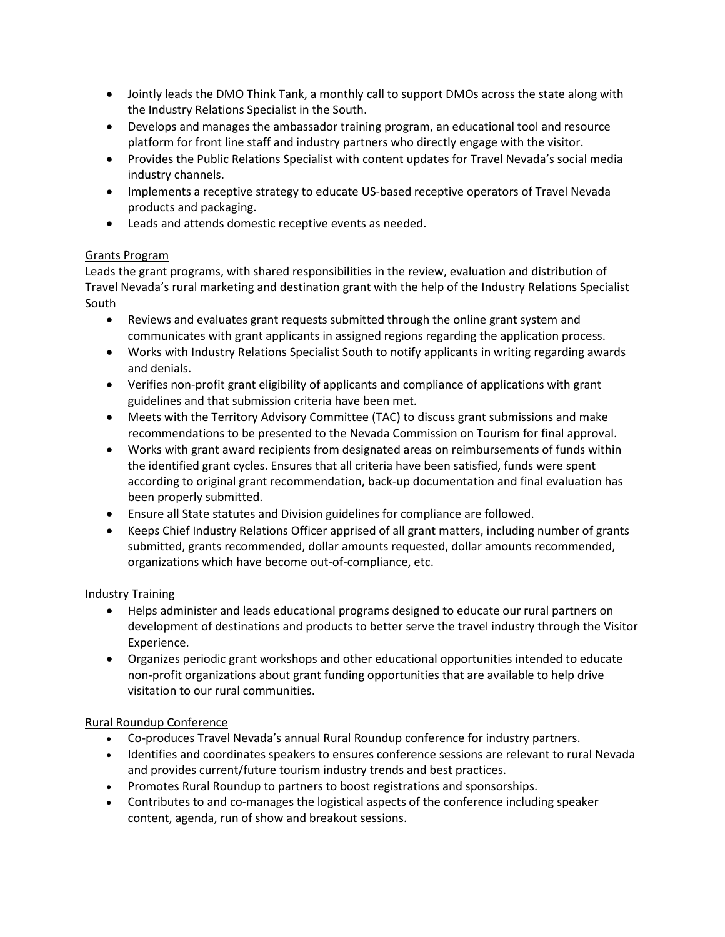- Jointly leads the DMO Think Tank, a monthly call to support DMOs across the state along with the Industry Relations Specialist in the South.
- Develops and manages the ambassador training program, an educational tool and resource platform for front line staff and industry partners who directly engage with the visitor.
- Provides the Public Relations Specialist with content updates for Travel Nevada's social media industry channels.
- Implements a receptive strategy to educate US-based receptive operators of Travel Nevada products and packaging.
- Leads and attends domestic receptive events as needed.

# Grants Program

Leads the grant programs, with shared responsibilities in the review, evaluation and distribution of Travel Nevada's rural marketing and destination grant with the help of the Industry Relations Specialist South

- Reviews and evaluates grant requests submitted through the online grant system and communicates with grant applicants in assigned regions regarding the application process.
- Works with Industry Relations Specialist South to notify applicants in writing regarding awards and denials.
- Verifies non-profit grant eligibility of applicants and compliance of applications with grant guidelines and that submission criteria have been met.
- Meets with the Territory Advisory Committee (TAC) to discuss grant submissions and make recommendations to be presented to the Nevada Commission on Tourism for final approval.
- Works with grant award recipients from designated areas on reimbursements of funds within the identified grant cycles. Ensures that all criteria have been satisfied, funds were spent according to original grant recommendation, back-up documentation and final evaluation has been properly submitted.
- Ensure all State statutes and Division guidelines for compliance are followed.
- Keeps Chief Industry Relations Officer apprised of all grant matters, including number of grants submitted, grants recommended, dollar amounts requested, dollar amounts recommended, organizations which have become out-of-compliance, etc.

# Industry Training

- Helps administer and leads educational programs designed to educate our rural partners on development of destinations and products to better serve the travel industry through the Visitor Experience.
- Organizes periodic grant workshops and other educational opportunities intended to educate non-profit organizations about grant funding opportunities that are available to help drive visitation to our rural communities.

# Rural Roundup Conference

- Co-produces Travel Nevada's annual Rural Roundup conference for industry partners.
- Identifies and coordinates speakers to ensures conference sessions are relevant to rural Nevada and provides current/future tourism industry trends and best practices.
- Promotes Rural Roundup to partners to boost registrations and sponsorships.
- Contributes to and co-manages the logistical aspects of the conference including speaker content, agenda, run of show and breakout sessions.